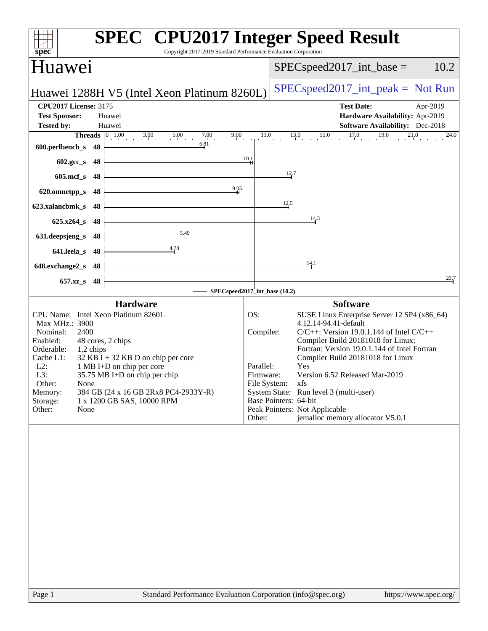| spec<br>Copyright 2017-2019 Standard Performance Evaluation Corporation                                                                                                                                                                                                                                                                                                                                    | <b>SPEC<sup>®</sup></b> CPU2017 Integer Speed Result                                                                                                                                                                                                                                                                                                                                                                                                                                                                  |
|------------------------------------------------------------------------------------------------------------------------------------------------------------------------------------------------------------------------------------------------------------------------------------------------------------------------------------------------------------------------------------------------------------|-----------------------------------------------------------------------------------------------------------------------------------------------------------------------------------------------------------------------------------------------------------------------------------------------------------------------------------------------------------------------------------------------------------------------------------------------------------------------------------------------------------------------|
| Huawei                                                                                                                                                                                                                                                                                                                                                                                                     | 10.2<br>$SPEC speed2017\_int\_base =$                                                                                                                                                                                                                                                                                                                                                                                                                                                                                 |
| Huawei 1288H V5 (Intel Xeon Platinum 8260L)                                                                                                                                                                                                                                                                                                                                                                | $SPEC speed2017\_int\_peak = Not Run$                                                                                                                                                                                                                                                                                                                                                                                                                                                                                 |
| <b>CPU2017 License: 3175</b><br><b>Test Sponsor:</b><br>Huawei<br><b>Tested by:</b><br>Huawei<br><b>Threads</b> $\begin{bmatrix} 0 & 1.00 & 3.00 & 5.00 \end{bmatrix}$<br>$7.00$ $9.00$                                                                                                                                                                                                                    | <b>Test Date:</b><br>Apr-2019<br>Hardware Availability: Apr-2019<br><b>Software Availability:</b> Dec-2018<br>$11.0$ $13.0$ $15.0$ $17.0$ $19.0$ $21.0$<br>$^{24.0}$                                                                                                                                                                                                                                                                                                                                                  |
| 6.81<br>600.perlbench_s<br>48                                                                                                                                                                                                                                                                                                                                                                              |                                                                                                                                                                                                                                                                                                                                                                                                                                                                                                                       |
| 602.gcc_s<br>48                                                                                                                                                                                                                                                                                                                                                                                            | 10.1<br>12.7                                                                                                                                                                                                                                                                                                                                                                                                                                                                                                          |
| $605$ .mcf_s<br>48<br>$^{9,05}$                                                                                                                                                                                                                                                                                                                                                                            |                                                                                                                                                                                                                                                                                                                                                                                                                                                                                                                       |
| 620.omnetpp_s<br>48<br>48<br>623.xalancbmk_s                                                                                                                                                                                                                                                                                                                                                               | $\frac{12.5}{4}$                                                                                                                                                                                                                                                                                                                                                                                                                                                                                                      |
| $625.x264_s$<br>48                                                                                                                                                                                                                                                                                                                                                                                         | 14.3                                                                                                                                                                                                                                                                                                                                                                                                                                                                                                                  |
| 5.49<br>631.deepsjeng_s<br>48                                                                                                                                                                                                                                                                                                                                                                              |                                                                                                                                                                                                                                                                                                                                                                                                                                                                                                                       |
| <u>4.78</u><br>641.leela_s<br>48                                                                                                                                                                                                                                                                                                                                                                           |                                                                                                                                                                                                                                                                                                                                                                                                                                                                                                                       |
| 648.exchange2_s<br>48                                                                                                                                                                                                                                                                                                                                                                                      | 14.1                                                                                                                                                                                                                                                                                                                                                                                                                                                                                                                  |
| 657.xz_s<br>48                                                                                                                                                                                                                                                                                                                                                                                             | $\frac{23.7}{ }$                                                                                                                                                                                                                                                                                                                                                                                                                                                                                                      |
| <b>Hardware</b>                                                                                                                                                                                                                                                                                                                                                                                            | SPECspeed2017_int_base (10.2)<br><b>Software</b>                                                                                                                                                                                                                                                                                                                                                                                                                                                                      |
| CPU Name: Intel Xeon Platinum 8260L<br>Max MHz.: 3900<br>Nominal:<br>2400<br>Enabled:<br>48 cores, 2 chips<br>Orderable:<br>1,2 chips<br>$32$ KB I + 32 KB D on chip per core<br>Cache L1:<br>$L2$ :<br>1 MB I+D on chip per core<br>L3:<br>35.75 MB I+D on chip per chip<br>Other:<br>None<br>384 GB (24 x 16 GB 2Rx8 PC4-2933Y-R)<br>Memory:<br>1 x 1200 GB SAS, 10000 RPM<br>Storage:<br>Other:<br>None | OS:<br>SUSE Linux Enterprise Server 12 SP4 (x86_64)<br>4.12.14-94.41-default<br>Compiler:<br>$C/C++$ : Version 19.0.1.144 of Intel $C/C++$<br>Compiler Build 20181018 for Linux;<br>Fortran: Version 19.0.1.144 of Intel Fortran<br>Compiler Build 20181018 for Linux<br>Parallel:<br><b>Yes</b><br>Version 6.52 Released Mar-2019<br>Firmware:<br>File System: xfs<br>System State: Run level 3 (multi-user)<br>Base Pointers: 64-bit<br>Peak Pointers: Not Applicable<br>jemalloc memory allocator V5.0.1<br>Other: |
|                                                                                                                                                                                                                                                                                                                                                                                                            |                                                                                                                                                                                                                                                                                                                                                                                                                                                                                                                       |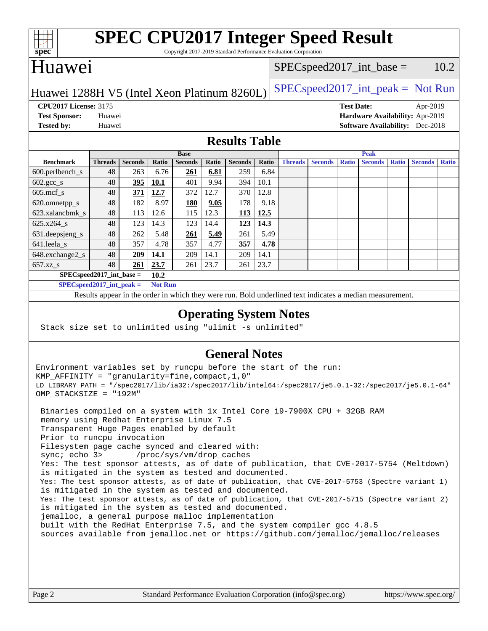

# **[SPEC CPU2017 Integer Speed Result](http://www.spec.org/auto/cpu2017/Docs/result-fields.html#SPECCPU2017IntegerSpeedResult)**

Copyright 2017-2019 Standard Performance Evaluation Corporation

## Huawei

#### $SPEC speed2017\_int\_base = 10.2$

## Huawei 1288H V5 (Intel Xeon Platinum 8260L) [SPECspeed2017\\_int\\_peak =](http://www.spec.org/auto/cpu2017/Docs/result-fields.html#SPECspeed2017intpeak) Not Run

**[CPU2017 License:](http://www.spec.org/auto/cpu2017/Docs/result-fields.html#CPU2017License)** 3175 **[Test Date:](http://www.spec.org/auto/cpu2017/Docs/result-fields.html#TestDate)** Apr-2019

**[Tested by:](http://www.spec.org/auto/cpu2017/Docs/result-fields.html#Testedby)** Huawei **[Software Availability:](http://www.spec.org/auto/cpu2017/Docs/result-fields.html#SoftwareAvailability)** Dec-2018

**[Test Sponsor:](http://www.spec.org/auto/cpu2017/Docs/result-fields.html#TestSponsor)** Huawei **[Hardware Availability:](http://www.spec.org/auto/cpu2017/Docs/result-fields.html#HardwareAvailability)** Apr-2019

### **[Results Table](http://www.spec.org/auto/cpu2017/Docs/result-fields.html#ResultsTable)**

|                                      | <b>Base</b>    |                |              |                |       | <b>Peak</b>    |       |                |                |              |                |              |                |              |
|--------------------------------------|----------------|----------------|--------------|----------------|-------|----------------|-------|----------------|----------------|--------------|----------------|--------------|----------------|--------------|
| <b>Benchmark</b>                     | <b>Threads</b> | <b>Seconds</b> | <b>Ratio</b> | <b>Seconds</b> | Ratio | <b>Seconds</b> | Ratio | <b>Threads</b> | <b>Seconds</b> | <b>Ratio</b> | <b>Seconds</b> | <b>Ratio</b> | <b>Seconds</b> | <b>Ratio</b> |
| $600.$ perlbench $\mathsf{S}$        | 48             | 263            | 6.76         | <u>261</u>     | 6.81  | 259            | 6.84  |                |                |              |                |              |                |              |
| $602 \text{.} \text{gcc}\text{_<}$ s | 48             | 395            | 10.1         | 401            | 9.94  | 394            | 10.1  |                |                |              |                |              |                |              |
| $605$ .mcf s                         | 48             | 371            | 12.7         | 372            | 12.7  | 370            | 12.8  |                |                |              |                |              |                |              |
| 620.omnetpp_s                        | 48             | 182            | 8.97         | <u>180</u>     | 9.05  | 178            | 9.18  |                |                |              |                |              |                |              |
| 623.xalancbmk s                      | 48             | 113            | 12.6         | 115            | 12.3  | 113            | 12.5  |                |                |              |                |              |                |              |
| $625.x264_s$                         | 48             | 123            | 14.3         | 123            | 14.4  | 123            | 14.3  |                |                |              |                |              |                |              |
| 631.deepsjeng_s                      | 48             | 262            | 5.48         | 261            | 5.49  | 261            | 5.49  |                |                |              |                |              |                |              |
| $641$ .leela_s                       | 48             | 357            | 4.78         | 357            | 4.77  | 357            | 4.78  |                |                |              |                |              |                |              |
| 648.exchange2_s                      | 48             | 209            | 14.1         | 209            | 14.1  | 209            | 14.1  |                |                |              |                |              |                |              |
| $657.xz$ s                           | 48             | 261            | 23.7         | 261            | 23.7  | 261            | 23.7  |                |                |              |                |              |                |              |
| $SPECspeed2017\_int\_base =$         |                |                | 10.2         |                |       |                |       |                |                |              |                |              |                |              |

**[SPECspeed2017\\_int\\_peak =](http://www.spec.org/auto/cpu2017/Docs/result-fields.html#SPECspeed2017intpeak) Not Run**

Results appear in the [order in which they were run.](http://www.spec.org/auto/cpu2017/Docs/result-fields.html#RunOrder) Bold underlined text [indicates a median measurement.](http://www.spec.org/auto/cpu2017/Docs/result-fields.html#Median)

### **[Operating System Notes](http://www.spec.org/auto/cpu2017/Docs/result-fields.html#OperatingSystemNotes)**

Stack size set to unlimited using "ulimit -s unlimited"

## **[General Notes](http://www.spec.org/auto/cpu2017/Docs/result-fields.html#GeneralNotes)**

Environment variables set by runcpu before the start of the run: KMP\_AFFINITY = "granularity=fine,compact,1,0" LD\_LIBRARY\_PATH = "/spec2017/lib/ia32:/spec2017/lib/intel64:/spec2017/je5.0.1-32:/spec2017/je5.0.1-64" OMP\_STACKSIZE = "192M"

 Binaries compiled on a system with 1x Intel Core i9-7900X CPU + 32GB RAM memory using Redhat Enterprise Linux 7.5 Transparent Huge Pages enabled by default Prior to runcpu invocation Filesystem page cache synced and cleared with: sync; echo 3> /proc/sys/vm/drop\_caches Yes: The test sponsor attests, as of date of publication, that CVE-2017-5754 (Meltdown) is mitigated in the system as tested and documented. Yes: The test sponsor attests, as of date of publication, that CVE-2017-5753 (Spectre variant 1) is mitigated in the system as tested and documented. Yes: The test sponsor attests, as of date of publication, that CVE-2017-5715 (Spectre variant 2) is mitigated in the system as tested and documented. jemalloc, a general purpose malloc implementation built with the RedHat Enterprise 7.5, and the system compiler gcc 4.8.5 sources available from jemalloc.net or <https://github.com/jemalloc/jemalloc/releases>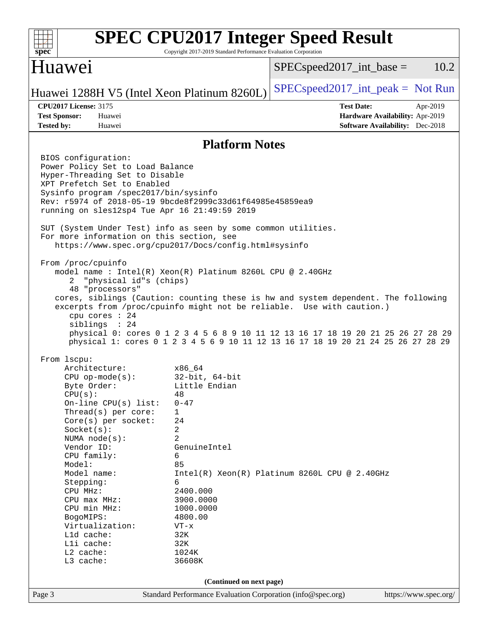| spec                                                                                                                                                                                                                                                                                                                                                                                                                                                    | Copyright 2017-2019 Standard Performance Evaluation Corporation                                                                                                                                                                   | <b>SPEC CPU2017 Integer Speed Result</b>                                                                                                                                                                                                                                                                                             |
|---------------------------------------------------------------------------------------------------------------------------------------------------------------------------------------------------------------------------------------------------------------------------------------------------------------------------------------------------------------------------------------------------------------------------------------------------------|-----------------------------------------------------------------------------------------------------------------------------------------------------------------------------------------------------------------------------------|--------------------------------------------------------------------------------------------------------------------------------------------------------------------------------------------------------------------------------------------------------------------------------------------------------------------------------------|
| Huawei                                                                                                                                                                                                                                                                                                                                                                                                                                                  |                                                                                                                                                                                                                                   | 10.2<br>$SPEC speed2017\_int\_base =$                                                                                                                                                                                                                                                                                                |
| Huawei 1288H V5 (Intel Xeon Platinum 8260L)                                                                                                                                                                                                                                                                                                                                                                                                             |                                                                                                                                                                                                                                   | $SPEC speed2017\_int\_peak = Not Run$                                                                                                                                                                                                                                                                                                |
| <b>CPU2017 License: 3175</b><br><b>Test Sponsor:</b><br>Huawei<br><b>Tested by:</b><br>Huawei                                                                                                                                                                                                                                                                                                                                                           |                                                                                                                                                                                                                                   | <b>Test Date:</b><br>Apr-2019<br>Hardware Availability: Apr-2019<br><b>Software Availability:</b> Dec-2018                                                                                                                                                                                                                           |
|                                                                                                                                                                                                                                                                                                                                                                                                                                                         | <b>Platform Notes</b>                                                                                                                                                                                                             |                                                                                                                                                                                                                                                                                                                                      |
| BIOS configuration:<br>Power Policy Set to Load Balance<br>Hyper-Threading Set to Disable<br>XPT Prefetch Set to Enabled<br>Sysinfo program /spec2017/bin/sysinfo<br>Rev: r5974 of 2018-05-19 9bcde8f2999c33d61f64985e45859ea9<br>running on sles12sp4 Tue Apr 16 21:49:59 2019<br>SUT (System Under Test) info as seen by some common utilities.<br>For more information on this section, see<br>https://www.spec.org/cpu2017/Docs/config.html#sysinfo |                                                                                                                                                                                                                                   |                                                                                                                                                                                                                                                                                                                                      |
| From /proc/cpuinfo<br>model name: $Intel(R)$ Xeon $(R)$ Platinum 8260L CPU @ 2.40GHz<br>"physical id"s (chips)<br>2<br>48 "processors"<br>cpu cores : 24<br>sibling: 24                                                                                                                                                                                                                                                                                 |                                                                                                                                                                                                                                   | cores, siblings (Caution: counting these is hw and system dependent. The following<br>excerpts from /proc/cpuinfo might not be reliable. Use with caution.)<br>physical 0: cores 0 1 2 3 4 5 6 8 9 10 11 12 13 16 17 18 19 20 21 25 26 27 28 29<br>physical 1: cores 0 1 2 3 4 5 6 9 10 11 12 13 16 17 18 19 20 21 24 25 26 27 28 29 |
| From lscpu:<br>Architecture:<br>$CPU$ op-mode( $s$ ):<br>Byte Order:<br>CPU(s):<br>On-line $CPU(s)$ list:<br>Thread(s) per core:<br>Core(s) per socket:<br>Socket(s):<br>NUMA $node(s)$ :<br>Vendor ID:<br>CPU family:<br>Model:<br>Model name:<br>Stepping:<br>CPU MHz:<br>CPU max MHz:<br>CPU min MHz:<br>BogoMIPS:<br>Virtualization:<br>L1d cache:<br>Lli cache:<br>L2 cache:<br>L3 cache:                                                          | x86 64<br>$32$ -bit, $64$ -bit<br>Little Endian<br>48<br>$0 - 47$<br>1<br>24<br>2<br>$\overline{2}$<br>GenuineIntel<br>6<br>85<br>6<br>2400.000<br>3900.0000<br>1000.0000<br>4800.00<br>$VT - x$<br>32K<br>32K<br>1024K<br>36608K | $Intel(R)$ Xeon(R) Platinum 8260L CPU @ 2.40GHz                                                                                                                                                                                                                                                                                      |
|                                                                                                                                                                                                                                                                                                                                                                                                                                                         | (Continued on next page)                                                                                                                                                                                                          |                                                                                                                                                                                                                                                                                                                                      |
| Page 3                                                                                                                                                                                                                                                                                                                                                                                                                                                  | Standard Performance Evaluation Corporation (info@spec.org)                                                                                                                                                                       | https://www.spec.org/                                                                                                                                                                                                                                                                                                                |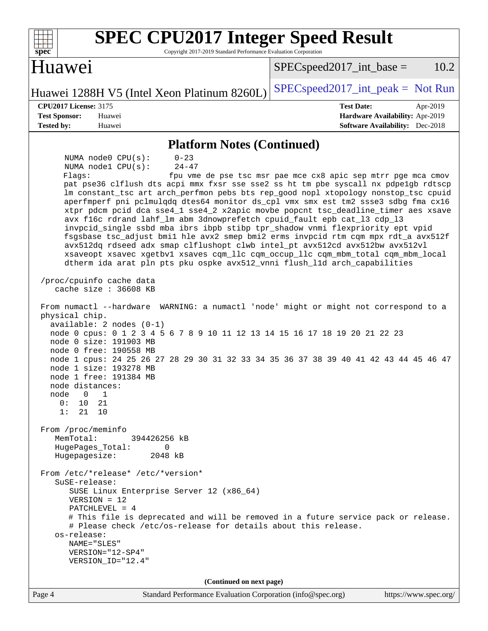| <b>Huawei</b><br>$SPEC speed2017\_int\_base =$<br>$SPEC speed2017\_int\_peak = Not Run$<br>Huawei 1288H V5 (Intel Xeon Platinum 8260L)<br><b>CPU2017 License: 3175</b><br><b>Test Date:</b><br>Apr-2019<br><b>Test Sponsor:</b><br>Huawei<br>Hardware Availability: Apr-2019<br><b>Tested by:</b><br>Huawei<br><b>Software Availability:</b> Dec-2018<br><b>Platform Notes (Continued)</b><br>NUMA node0 CPU(s):<br>$0 - 23$<br>$24 - 47$<br>NUMA nodel CPU(s):<br>fpu vme de pse tsc msr pae mce cx8 apic sep mtrr pge mca cmov<br>Flaqs:<br>pat pse36 clflush dts acpi mmx fxsr sse sse2 ss ht tm pbe syscall nx pdpe1gb rdtscp<br>lm constant_tsc art arch_perfmon pebs bts rep_good nopl xtopology nonstop_tsc cpuid<br>aperfmperf pni pclmulqdq dtes64 monitor ds_cpl vmx smx est tm2 ssse3 sdbg fma cx16<br>xtpr pdcm pcid dca sse4_1 sse4_2 x2apic movbe popcnt tsc_deadline_timer aes xsave<br>avx f16c rdrand lahf_lm abm 3dnowprefetch cpuid_fault epb cat_13 cdp_13<br>invpcid_single ssbd mba ibrs ibpb stibp tpr_shadow vnmi flexpriority ept vpid<br>fsgsbase tsc_adjust bmil hle avx2 smep bmi2 erms invpcid rtm cqm mpx rdt_a avx512f<br>avx512dq rdseed adx smap clflushopt clwb intel_pt avx512cd avx512bw avx512vl<br>xsaveopt xsavec xgetbvl xsaves cqm_llc cqm_occup_llc cqm_mbm_total cqm_mbm_local<br>dtherm ida arat pln pts pku ospke avx512_vnni flush_lld arch_capabilities<br>/proc/cpuinfo cache data<br>cache size : 36608 KB<br>From numactl --hardware WARNING: a numactl 'node' might or might not correspond to a<br>physical chip.<br>$available: 2 nodes (0-1)$<br>node 0 cpus: 0 1 2 3 4 5 6 7 8 9 10 11 12 13 14 15 16 17 18 19 20 21 22 23<br>node 0 size: 191903 MB<br>node 0 free: 190558 MB<br>node 1 cpus: 24 25 26 27 28 29 30 31 32 33 34 35 36 37 38 39 40 41 42 43 44 45 46 47<br>node 1 size: 193278 MB<br>node 1 free: 191384 MB<br>node distances:<br>node<br>0<br>1<br>0 :<br>10<br>21<br>1:<br>21<br>10<br>From /proc/meminfo<br>MemTotal:<br>394426256 kB<br>0<br>HugePages_Total:<br>Hugepagesize:<br>2048 kB<br>From /etc/*release* /etc/*version*<br>SuSE-release:<br>SUSE Linux Enterprise Server 12 (x86_64)<br>$VERSION = 12$<br>PATCHLEVEL = $4$<br># This file is deprecated and will be removed in a future service pack or release.<br># Please check /etc/os-release for details about this release.<br>os-release:<br>NAME="SLES"<br>VERSION="12-SP4"<br>VERSION_ID="12.4"<br>(Continued on next page)<br>Page 4<br>Standard Performance Evaluation Corporation (info@spec.org)<br>https://www.spec.org/ | <b>SPEC CPU2017 Integer Speed Result</b><br>spec<br>Copyright 2017-2019 Standard Performance Evaluation Corporation |      |
|---------------------------------------------------------------------------------------------------------------------------------------------------------------------------------------------------------------------------------------------------------------------------------------------------------------------------------------------------------------------------------------------------------------------------------------------------------------------------------------------------------------------------------------------------------------------------------------------------------------------------------------------------------------------------------------------------------------------------------------------------------------------------------------------------------------------------------------------------------------------------------------------------------------------------------------------------------------------------------------------------------------------------------------------------------------------------------------------------------------------------------------------------------------------------------------------------------------------------------------------------------------------------------------------------------------------------------------------------------------------------------------------------------------------------------------------------------------------------------------------------------------------------------------------------------------------------------------------------------------------------------------------------------------------------------------------------------------------------------------------------------------------------------------------------------------------------------------------------------------------------------------------------------------------------------------------------------------------------------------------------------------------------------------------------------------------------------------------------------------------------------------------------------------------------------------------------------------------------------------------------------------------------------------------------------------------------------------------------------------------------------------------------------------------------------------------------------------------------------------------------------------------------------------------------------------------------|---------------------------------------------------------------------------------------------------------------------|------|
|                                                                                                                                                                                                                                                                                                                                                                                                                                                                                                                                                                                                                                                                                                                                                                                                                                                                                                                                                                                                                                                                                                                                                                                                                                                                                                                                                                                                                                                                                                                                                                                                                                                                                                                                                                                                                                                                                                                                                                                                                                                                                                                                                                                                                                                                                                                                                                                                                                                                                                                                                                           |                                                                                                                     | 10.2 |
|                                                                                                                                                                                                                                                                                                                                                                                                                                                                                                                                                                                                                                                                                                                                                                                                                                                                                                                                                                                                                                                                                                                                                                                                                                                                                                                                                                                                                                                                                                                                                                                                                                                                                                                                                                                                                                                                                                                                                                                                                                                                                                                                                                                                                                                                                                                                                                                                                                                                                                                                                                           |                                                                                                                     |      |
|                                                                                                                                                                                                                                                                                                                                                                                                                                                                                                                                                                                                                                                                                                                                                                                                                                                                                                                                                                                                                                                                                                                                                                                                                                                                                                                                                                                                                                                                                                                                                                                                                                                                                                                                                                                                                                                                                                                                                                                                                                                                                                                                                                                                                                                                                                                                                                                                                                                                                                                                                                           |                                                                                                                     |      |
|                                                                                                                                                                                                                                                                                                                                                                                                                                                                                                                                                                                                                                                                                                                                                                                                                                                                                                                                                                                                                                                                                                                                                                                                                                                                                                                                                                                                                                                                                                                                                                                                                                                                                                                                                                                                                                                                                                                                                                                                                                                                                                                                                                                                                                                                                                                                                                                                                                                                                                                                                                           |                                                                                                                     |      |
|                                                                                                                                                                                                                                                                                                                                                                                                                                                                                                                                                                                                                                                                                                                                                                                                                                                                                                                                                                                                                                                                                                                                                                                                                                                                                                                                                                                                                                                                                                                                                                                                                                                                                                                                                                                                                                                                                                                                                                                                                                                                                                                                                                                                                                                                                                                                                                                                                                                                                                                                                                           |                                                                                                                     |      |
|                                                                                                                                                                                                                                                                                                                                                                                                                                                                                                                                                                                                                                                                                                                                                                                                                                                                                                                                                                                                                                                                                                                                                                                                                                                                                                                                                                                                                                                                                                                                                                                                                                                                                                                                                                                                                                                                                                                                                                                                                                                                                                                                                                                                                                                                                                                                                                                                                                                                                                                                                                           |                                                                                                                     |      |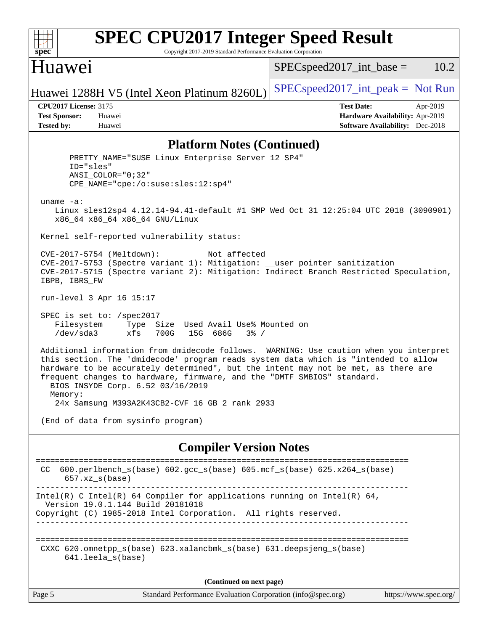

# **[SPEC CPU2017 Integer Speed Result](http://www.spec.org/auto/cpu2017/Docs/result-fields.html#SPECCPU2017IntegerSpeedResult)**

Copyright 2017-2019 Standard Performance Evaluation Corporation

## Huawei

 $SPEC speed2017\_int\_base = 10.2$ 

Huawei 1288H V5 (Intel Xeon Platinum 8260L) [SPECspeed2017\\_int\\_peak =](http://www.spec.org/auto/cpu2017/Docs/result-fields.html#SPECspeed2017intpeak) Not Run

**[CPU2017 License:](http://www.spec.org/auto/cpu2017/Docs/result-fields.html#CPU2017License)** 3175 **[Test Date:](http://www.spec.org/auto/cpu2017/Docs/result-fields.html#TestDate)** Apr-2019 **[Test Sponsor:](http://www.spec.org/auto/cpu2017/Docs/result-fields.html#TestSponsor)** Huawei **[Hardware Availability:](http://www.spec.org/auto/cpu2017/Docs/result-fields.html#HardwareAvailability)** Apr-2019 **[Tested by:](http://www.spec.org/auto/cpu2017/Docs/result-fields.html#Testedby)** Huawei **[Software Availability:](http://www.spec.org/auto/cpu2017/Docs/result-fields.html#SoftwareAvailability)** Dec-2018

#### **[Platform Notes \(Continued\)](http://www.spec.org/auto/cpu2017/Docs/result-fields.html#PlatformNotes)**

 PRETTY\_NAME="SUSE Linux Enterprise Server 12 SP4" ID="sles" ANSI\_COLOR="0;32" CPE\_NAME="cpe:/o:suse:sles:12:sp4" uname -a: Linux sles12sp4 4.12.14-94.41-default #1 SMP Wed Oct 31 12:25:04 UTC 2018 (3090901) x86\_64 x86\_64 x86\_64 GNU/Linux Kernel self-reported vulnerability status: CVE-2017-5754 (Meltdown): Not affected CVE-2017-5753 (Spectre variant 1): Mitigation: \_\_user pointer sanitization CVE-2017-5715 (Spectre variant 2): Mitigation: Indirect Branch Restricted Speculation, IBPB, IBRS\_FW run-level 3 Apr 16 15:17 SPEC is set to: /spec2017 Filesystem Type Size Used Avail Use% Mounted on /dev/sda3 xfs 700G 15G 686G 3% / Additional information from dmidecode follows. WARNING: Use caution when you interpret this section. The 'dmidecode' program reads system data which is "intended to allow hardware to be accurately determined", but the intent may not be met, as there are frequent changes to hardware, firmware, and the "DMTF SMBIOS" standard. BIOS INSYDE Corp. 6.52 03/16/2019 Memory: 24x Samsung M393A2K43CB2-CVF 16 GB 2 rank 2933 (End of data from sysinfo program) **[Compiler Version Notes](http://www.spec.org/auto/cpu2017/Docs/result-fields.html#CompilerVersionNotes)** ============================================================================== CC 600.perlbench\_s(base) 602.gcc\_s(base) 605.mcf\_s(base) 625.x264\_s(base) 657.xz\_s(base) ------------------------------------------------------------------------------ Intel(R) C Intel(R) 64 Compiler for applications running on Intel(R)  $64$ , Version 19.0.1.144 Build 20181018

Copyright (C) 1985-2018 Intel Corporation. All rights reserved.

============================================================================== CXXC 620.omnetpp\_s(base) 623.xalancbmk\_s(base) 631.deepsjeng\_s(base) 641.leela\_s(base)

------------------------------------------------------------------------------

**(Continued on next page)**

|  | age<br>◡ |  |
|--|----------|--|
|--|----------|--|

Page 5 Standard Performance Evaluation Corporation [\(info@spec.org\)](mailto:info@spec.org) <https://www.spec.org/>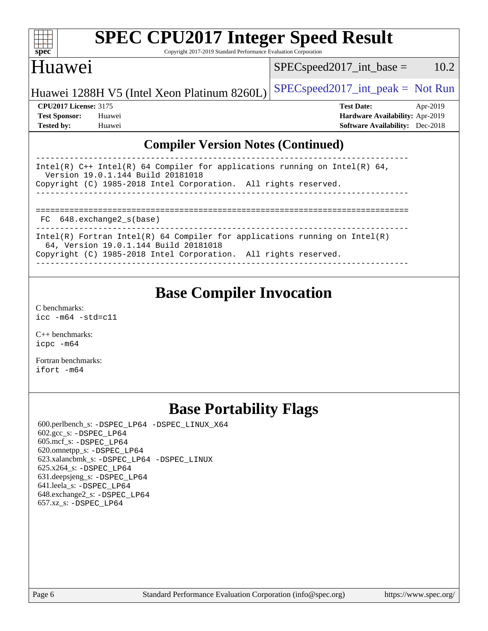| S<br>e<br>1)<br>L. |  |  |  |  |  |  |
|--------------------|--|--|--|--|--|--|

# **[SPEC CPU2017 Integer Speed Result](http://www.spec.org/auto/cpu2017/Docs/result-fields.html#SPECCPU2017IntegerSpeedResult)**

Copyright 2017-2019 Standard Performance Evaluation Corporation

## Huawei

 $SPEC speed2017\_int\_base = 10.2$ 

| Huawei 1288H V5 (Intel Xeon Platinum 8260L) SPECspeed 2017_int_peak = Not Run |                   |          |
|-------------------------------------------------------------------------------|-------------------|----------|
| <b>CPU2017 License: 3175</b>                                                  | <b>Test Date:</b> | Apr-2019 |

**[Test Sponsor:](http://www.spec.org/auto/cpu2017/Docs/result-fields.html#TestSponsor)** Huawei **[Hardware Availability:](http://www.spec.org/auto/cpu2017/Docs/result-fields.html#HardwareAvailability)** Apr-2019 **[Tested by:](http://www.spec.org/auto/cpu2017/Docs/result-fields.html#Testedby)** Huawei **[Software Availability:](http://www.spec.org/auto/cpu2017/Docs/result-fields.html#SoftwareAvailability)** Dec-2018

## **[Compiler Version Notes \(Continued\)](http://www.spec.org/auto/cpu2017/Docs/result-fields.html#CompilerVersionNotes)**

| Intel(R) $C++$ Intel(R) 64 Compiler for applications running on Intel(R) 64,<br>Version 19.0.1.144 Build 20181018   |
|---------------------------------------------------------------------------------------------------------------------|
| Copyright (C) 1985-2018 Intel Corporation. All rights reserved.                                                     |
|                                                                                                                     |
|                                                                                                                     |
|                                                                                                                     |
| FC 648.exchange2 s(base)                                                                                            |
|                                                                                                                     |
| Intel(R) Fortran Intel(R) 64 Compiler for applications running on Intel(R)<br>64, Version 19.0.1.144 Build 20181018 |
| Copyright (C) 1985-2018 Intel Corporation. All rights reserved.                                                     |
|                                                                                                                     |

## **[Base Compiler Invocation](http://www.spec.org/auto/cpu2017/Docs/result-fields.html#BaseCompilerInvocation)**

[C benchmarks](http://www.spec.org/auto/cpu2017/Docs/result-fields.html#Cbenchmarks): [icc -m64 -std=c11](http://www.spec.org/cpu2017/results/res2019q2/cpu2017-20190428-12623.flags.html#user_CCbase_intel_icc_64bit_c11_33ee0cdaae7deeeab2a9725423ba97205ce30f63b9926c2519791662299b76a0318f32ddfffdc46587804de3178b4f9328c46fa7c2b0cd779d7a61945c91cd35)

[C++ benchmarks:](http://www.spec.org/auto/cpu2017/Docs/result-fields.html#CXXbenchmarks) [icpc -m64](http://www.spec.org/cpu2017/results/res2019q2/cpu2017-20190428-12623.flags.html#user_CXXbase_intel_icpc_64bit_4ecb2543ae3f1412ef961e0650ca070fec7b7afdcd6ed48761b84423119d1bf6bdf5cad15b44d48e7256388bc77273b966e5eb805aefd121eb22e9299b2ec9d9)

[Fortran benchmarks](http://www.spec.org/auto/cpu2017/Docs/result-fields.html#Fortranbenchmarks): [ifort -m64](http://www.spec.org/cpu2017/results/res2019q2/cpu2017-20190428-12623.flags.html#user_FCbase_intel_ifort_64bit_24f2bb282fbaeffd6157abe4f878425411749daecae9a33200eee2bee2fe76f3b89351d69a8130dd5949958ce389cf37ff59a95e7a40d588e8d3a57e0c3fd751)

## **[Base Portability Flags](http://www.spec.org/auto/cpu2017/Docs/result-fields.html#BasePortabilityFlags)**

 600.perlbench\_s: [-DSPEC\\_LP64](http://www.spec.org/cpu2017/results/res2019q2/cpu2017-20190428-12623.flags.html#b600.perlbench_s_basePORTABILITY_DSPEC_LP64) [-DSPEC\\_LINUX\\_X64](http://www.spec.org/cpu2017/results/res2019q2/cpu2017-20190428-12623.flags.html#b600.perlbench_s_baseCPORTABILITY_DSPEC_LINUX_X64) 602.gcc\_s: [-DSPEC\\_LP64](http://www.spec.org/cpu2017/results/res2019q2/cpu2017-20190428-12623.flags.html#suite_basePORTABILITY602_gcc_s_DSPEC_LP64) 605.mcf\_s: [-DSPEC\\_LP64](http://www.spec.org/cpu2017/results/res2019q2/cpu2017-20190428-12623.flags.html#suite_basePORTABILITY605_mcf_s_DSPEC_LP64) 620.omnetpp\_s: [-DSPEC\\_LP64](http://www.spec.org/cpu2017/results/res2019q2/cpu2017-20190428-12623.flags.html#suite_basePORTABILITY620_omnetpp_s_DSPEC_LP64) 623.xalancbmk\_s: [-DSPEC\\_LP64](http://www.spec.org/cpu2017/results/res2019q2/cpu2017-20190428-12623.flags.html#suite_basePORTABILITY623_xalancbmk_s_DSPEC_LP64) [-DSPEC\\_LINUX](http://www.spec.org/cpu2017/results/res2019q2/cpu2017-20190428-12623.flags.html#b623.xalancbmk_s_baseCXXPORTABILITY_DSPEC_LINUX) 625.x264\_s: [-DSPEC\\_LP64](http://www.spec.org/cpu2017/results/res2019q2/cpu2017-20190428-12623.flags.html#suite_basePORTABILITY625_x264_s_DSPEC_LP64) 631.deepsjeng\_s: [-DSPEC\\_LP64](http://www.spec.org/cpu2017/results/res2019q2/cpu2017-20190428-12623.flags.html#suite_basePORTABILITY631_deepsjeng_s_DSPEC_LP64) 641.leela\_s: [-DSPEC\\_LP64](http://www.spec.org/cpu2017/results/res2019q2/cpu2017-20190428-12623.flags.html#suite_basePORTABILITY641_leela_s_DSPEC_LP64) 648.exchange2\_s: [-DSPEC\\_LP64](http://www.spec.org/cpu2017/results/res2019q2/cpu2017-20190428-12623.flags.html#suite_basePORTABILITY648_exchange2_s_DSPEC_LP64) 657.xz\_s: [-DSPEC\\_LP64](http://www.spec.org/cpu2017/results/res2019q2/cpu2017-20190428-12623.flags.html#suite_basePORTABILITY657_xz_s_DSPEC_LP64)